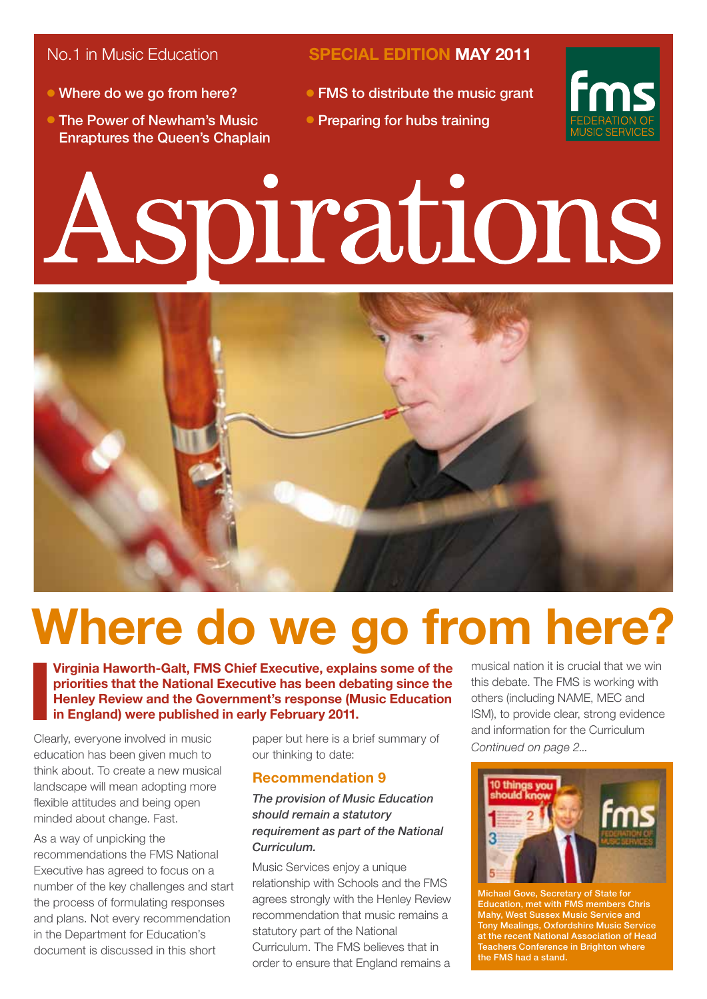- Where do we go from here?
- **The Power of Newham's Music** Enraptures the Queen's Chaplain

No.1 in Music Education **SPECIAL EDITION MAY 2011**

- $\bullet$  FMS to distribute the music grant
- Preparing for hubs training



# Aspirations



# **Where do we go from here?**

**Virginia Haworth-Galt, FMS Chief Executive, explains some of the priorities that the National Executive has been debating since the Henley Review and the Government's response (Music Education in England) were published in early February 2011.**

Clearly, everyone involved in music education has been given much to think about. To create a new musical landscape will mean adopting more flexible attitudes and being open minded about change. Fast.

As a way of unpicking the recommendations the FMS National Executive has agreed to focus on a number of the key challenges and start the process of formulating responses and plans. Not every recommendation in the Department for Education's document is discussed in this short

paper but here is a brief summary of our thinking to date:

#### **Recommendation 9**

#### *The provision of Music Education should remain a statutory requirement as part of the National Curriculum.*

Music Services enjoy a unique relationship with Schools and the FMS agrees strongly with the Henley Review recommendation that music remains a statutory part of the National Curriculum. The FMS believes that in order to ensure that England remains a

musical nation it is crucial that we win this debate. The FMS is working with others (including NAME, MEC and ISM), to provide clear, strong evidence and information for the Curriculum *Continued on page 2...*



Michael Gove, Secretary of State for Education, met with FMS members Chris Mahy, West Sussex Music Service and **Tony Mealings, Oxfordshire Music Servic** at the recent National Association of Head Teachers Conference in Brighton where the FMS had a stand.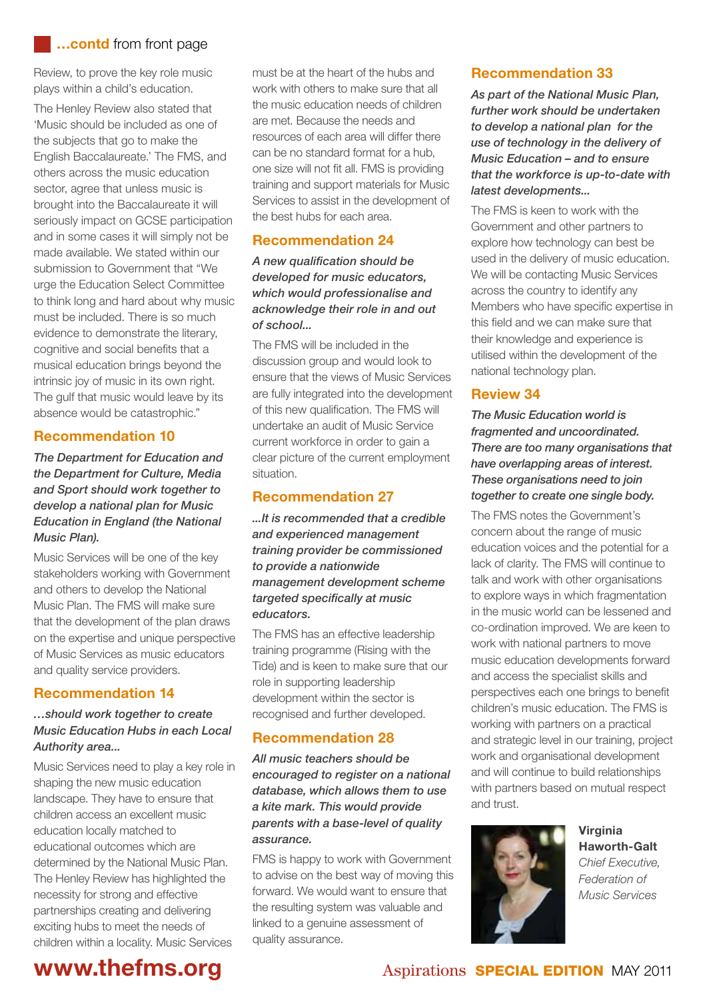#### **…contd** from front page

Review, to prove the key role music plays within a child's education.

The Henley Review also stated that 'Music should be included as one of the subjects that go to make the English Baccalaureate.' The FMS, and others across the music education sector, agree that unless music is brought into the Baccalaureate it will seriously impact on GCSE participation and in some cases it will simply not be made available. We stated within our submission to Government that "We urge the Education Select Committee to think long and hard about why music must be included. There is so much evidence to demonstrate the literary, cognitive and social benefits that a musical education brings beyond the intrinsic joy of music in its own right. The gulf that music would leave by its absence would be catastrophic."

#### **Recommendation 10**

*The Department for Education and the Department for Culture, Media and Sport should work together to develop a national plan for Music Education in England (the National Music Plan).*

Music Services will be one of the key stakeholders working with Government and others to develop the National Music Plan. The FMS will make sure that the development of the plan draws on the expertise and unique perspective of Music Services as music educators and quality service providers.

#### **Recommendation 14**

#### *…should work together to create Music Education Hubs in each Local Authority area...*

Music Services need to play a key role in shaping the new music education landscape. They have to ensure that children access an excellent music education locally matched to educational outcomes which are determined by the National Music Plan. The Henley Review has highlighted the necessity for strong and effective partnerships creating and delivering exciting hubs to meet the needs of children within a locality. Music Services

must be at the heart of the hubs and work with others to make sure that all the music education needs of children are met. Because the needs and resources of each area will differ there can be no standard format for a hub, one size will not fit all. FMS is providing training and support materials for Music Services to assist in the development of the best hubs for each area.

#### **Recommendation 24**

*A new qualification should be developed for music educators, which would professionalise and acknowledge their role in and out of school...*

The FMS will be included in the discussion group and would look to ensure that the views of Music Services are fully integrated into the development of this new qualification. The FMS will undertake an audit of Music Service current workforce in order to gain a clear picture of the current employment situation.

#### **Recommendation 27**

*...It is recommended that a credible and experienced management training provider be commissioned to provide a nationwide management development scheme targeted specifically at music educators.*

The FMS has an effective leadership training programme (Rising with the Tide) and is keen to make sure that our role in supporting leadership development within the sector is recognised and further developed.

#### **Recommendation 28**

*All music teachers should be encouraged to register on a national database, which allows them to use a kite mark. This would provide parents with a base-level of quality assurance.*

FMS is happy to work with Government to advise on the best way of moving this forward. We would want to ensure that the resulting system was valuable and linked to a genuine assessment of quality assurance.

#### **Recommendation 33**

*As part of the National Music Plan, further work should be undertaken to develop a national plan for the use of technology in the delivery of Music Education – and to ensure that the workforce is up-to-date with latest developments...*

The FMS is keen to work with the Government and other partners to explore how technology can best be used in the delivery of music education. We will be contacting Music Services across the country to identify any Members who have specific expertise in this field and we can make sure that their knowledge and experience is utilised within the development of the national technology plan.

#### **Review 34**

*The Music Education world is fragmented and uncoordinated. There are too many organisations that have overlapping areas of interest. These organisations need to join together to create one single body.*

The FMS notes the Government's concern about the range of music education voices and the potential for a lack of clarity. The FMS will continue to talk and work with other organisations to explore ways in which fragmentation in the music world can be lessened and co-ordination improved. We are keen to work with national partners to move music education developments forward and access the specialist skills and perspectives each one brings to benefit children's music education. The FMS is working with partners on a practical and strategic level in our training, project work and organisational development and will continue to build relationships with partners based on mutual respect and trust.



**Virginia Haworth-Galt** *Chief Executive, Federation of Music Services*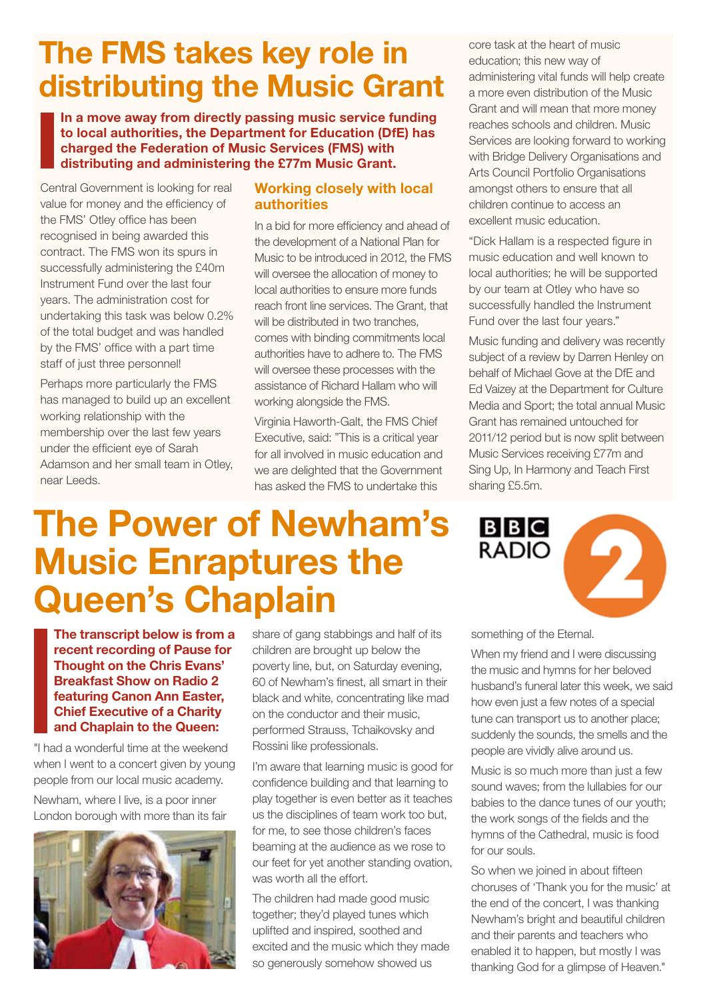## **The FMS takes key role in distributing the Music Grant**

**In a move away from directly passing music service funding to local authorities, the Department for Education (DfE) has charged the Federation of Music Services (FMS) with distributing and administering the £77m Music Grant.**

**The Power of Newham's** 

**Music Enraptures the** 

**Queen's Chaplain** 

Central Government is looking for real value for money and the efficiency of the FMS' Otley office has been recognised in being awarded this contract. The FMS won its spurs in successfully administering the £40m Instrument Fund over the last four years. The administration cost for undertaking this task was below 0.2% of the total budget and was handled by the FMS' office with a part time staff of just three personnel!

Perhaps more particularly the FMS has managed to build up an excellent working relationship with the membership over the last few years under the efficient eye of Sarah Adamson and her small team in Otley, near Leeds.

#### **Working closely with local authorities**

In a bid for more efficiency and ahead of the development of a National Plan for Music to be introduced in 2012, the FMS will oversee the allocation of money to local authorities to ensure more funds reach front line services. The Grant, that will be distributed in two tranches comes with binding commitments local authorities have to adhere to. The FMS will oversee these processes with the assistance of Richard Hallam who will working alongside the FMS.

Virginia Haworth-Galt, the FMS Chief Executive, said: "This is a critical year for all involved in music education and we are delighted that the Government has asked the FMS to undertake this

core task at the heart of music education; this new way of administering vital funds will help create a more even distribution of the Music Grant and will mean that more money reaches schools and children. Music Services are looking forward to working with Bridge Delivery Organisations and Arts Council Portfolio Organisations amongst others to ensure that all children continue to access an excellent music education.

"Dick Hallam is a respected figure in music education and well known to local authorities; he will be supported by our team at Otley who have so successfully handled the Instrument Fund over the last four years."

Music funding and delivery was recently subject of a review by Darren Henley on behalf of Michael Gove at the DfE and Ed Vaizey at the Department for Culture Media and Sport; the total annual Music Grant has remained untouched for 2011/12 period but is now split between Music Services receiving £77m and Sing Up, In Harmony and Teach First sharing £5.5m.

### **BBC RADIO**



**The transcript below is from a recent recording of Pause for Thought on the Chris Evans' Breakfast Show on Radio 2 featuring Canon Ann Easter, Chief Executive of a Charity and Chaplain to the Queen:**

"I had a wonderful time at the weekend when I went to a concert given by young people from our local music academy.

Newham, where I live, is a poor inner London borough with more than its fair



share of gang stabbings and half of its children are brought up below the poverty line, but, on Saturday evening, 60 of Newham's finest, all smart in their black and white, concentrating like mad on the conductor and their music, performed Strauss, Tchaikovsky and Rossini like professionals.

I'm aware that learning music is good for confidence building and that learning to play together is even better as it teaches us the disciplines of team work too but, for me, to see those children's faces beaming at the audience as we rose to our feet for yet another standing ovation, was worth all the effort.

The children had made good music together; they'd played tunes which uplifted and inspired, soothed and excited and the music which they made so generously somehow showed us

something of the Eternal.

When my friend and I were discussing the music and hymns for her beloved husband's funeral later this week, we said how even just a few notes of a special tune can transport us to another place; suddenly the sounds, the smells and the people are vividly alive around us.

Music is so much more than just a few sound waves; from the lullabies for our babies to the dance tunes of our youth; the work songs of the fields and the hymns of the Cathedral, music is food for our souls.

So when we joined in about fifteen choruses of 'Thank you for the music' at the end of the concert, I was thanking Newham's bright and beautiful children and their parents and teachers who enabled it to happen, but mostly I was thanking God for a glimpse of Heaven."